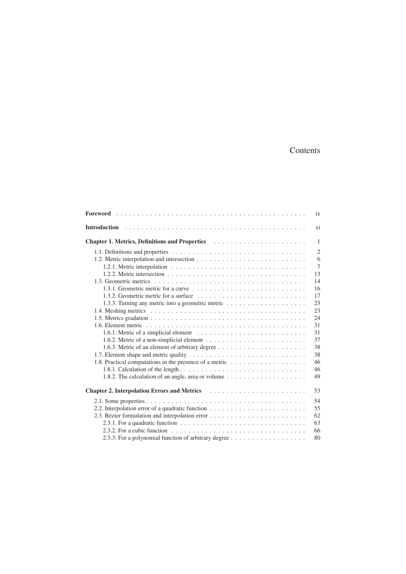## Contents

|                                                                                                                             | ix             |
|-----------------------------------------------------------------------------------------------------------------------------|----------------|
|                                                                                                                             | xi             |
| <b>Chapter 1. Metrics, Definitions and Properties entitled by Chapter 1. Metrics, Definitions and Properties</b>            | $\mathbf{1}$   |
|                                                                                                                             | $\overline{2}$ |
|                                                                                                                             | 6              |
|                                                                                                                             | $\overline{7}$ |
|                                                                                                                             | 13             |
|                                                                                                                             | 14             |
|                                                                                                                             | 16             |
| 1.3.2. Geometric metric for a surface $\ldots$ , $\ldots$ , $\ldots$ , $\ldots$ , $\ldots$ , $\ldots$ , $\ldots$ , $\ldots$ | 17             |
|                                                                                                                             | 23             |
|                                                                                                                             | 23             |
|                                                                                                                             | 24             |
|                                                                                                                             | 31             |
|                                                                                                                             | 31             |
|                                                                                                                             | 37             |
|                                                                                                                             | 38             |
|                                                                                                                             | 38             |
|                                                                                                                             | 46             |
|                                                                                                                             | 46             |
| 1.8.2. The calculation of an angle, area or volume $\dots \dots \dots \dots \dots \dots \dots$                              | 49             |
|                                                                                                                             | 53             |
|                                                                                                                             | 54             |
| 2.2. Interpolation error of a quadratic function $\dots \dots \dots \dots \dots \dots \dots \dots \dots$                    | 55             |
|                                                                                                                             | 62             |
|                                                                                                                             | 63             |
|                                                                                                                             | 66             |
| 2.3.3. For a polynomial function of arbitrary degree $\dots \dots \dots \dots \dots \dots \dots$                            | 80             |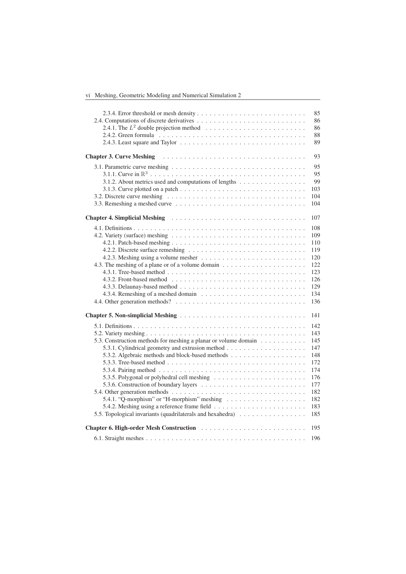vi Meshing, Geometric Modeling and Numerical Simulation 2

|                                                                                                                               | 85<br>86<br>86<br>88<br>89                                                              |
|-------------------------------------------------------------------------------------------------------------------------------|-----------------------------------------------------------------------------------------|
|                                                                                                                               | 93                                                                                      |
| 3.1.2. About metrics used and computations of lengths                                                                         | 95<br>95<br>99<br>103<br>104<br>104                                                     |
|                                                                                                                               | 107                                                                                     |
|                                                                                                                               | 108<br>109<br>110<br>119<br>120<br>122<br>123<br>126<br>129<br>134<br>136               |
|                                                                                                                               | 141                                                                                     |
| 5.3. Construction methods for meshing a planar or volume domain<br>5.5. Topological invariants (quadrilaterals and hexahedra) | 142<br>143<br>145<br>147<br>148<br>172<br>174<br>176<br>177<br>182<br>182<br>183<br>185 |
|                                                                                                                               | 195                                                                                     |
|                                                                                                                               | 196                                                                                     |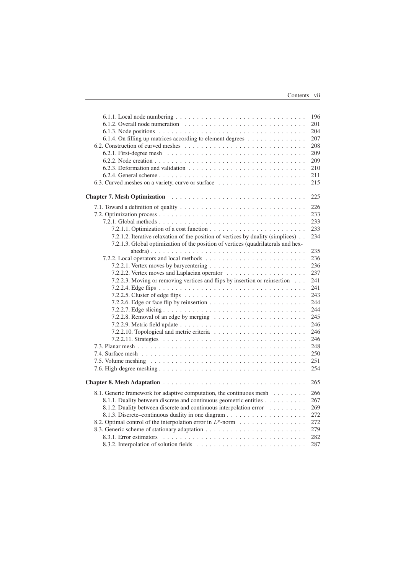|                                                                                                 | 196 |
|-------------------------------------------------------------------------------------------------|-----|
|                                                                                                 | 201 |
|                                                                                                 | 204 |
| 6.1.4. On filling up matrices according to element degrees                                      | 207 |
|                                                                                                 | 208 |
|                                                                                                 | 209 |
|                                                                                                 | 209 |
|                                                                                                 | 210 |
|                                                                                                 | 211 |
|                                                                                                 | 215 |
|                                                                                                 |     |
|                                                                                                 | 225 |
|                                                                                                 | 226 |
|                                                                                                 | 233 |
|                                                                                                 | 233 |
|                                                                                                 | 233 |
| 7.2.1.2. Iterative relaxation of the position of vertices by duality (simplices).               | 234 |
| 7.2.1.3. Global optimization of the position of vertices (quadrilaterals and hex-               |     |
|                                                                                                 | 235 |
|                                                                                                 | 236 |
|                                                                                                 | 236 |
|                                                                                                 | 237 |
|                                                                                                 |     |
| 7.2.2.3. Moving or removing vertices and flips by insertion or reinsertion                      | 241 |
|                                                                                                 | 241 |
| 7.2.2.5. Cluster of edge flips $\ldots \ldots \ldots \ldots \ldots \ldots \ldots \ldots \ldots$ | 243 |
|                                                                                                 | 244 |
|                                                                                                 | 244 |
|                                                                                                 | 245 |
|                                                                                                 | 246 |
|                                                                                                 | 246 |
|                                                                                                 | 246 |
|                                                                                                 | 248 |
|                                                                                                 | 250 |
|                                                                                                 | 251 |
|                                                                                                 | 254 |
|                                                                                                 |     |
|                                                                                                 | 265 |
| 8.1. Generic framework for adaptive computation, the continuous mesh                            | 266 |
| 8.1.1. Duality between discrete and continuous geometric entities                               | 267 |
| 8.1.2. Duality between discrete and continuous interpolation error                              | 269 |
|                                                                                                 | 272 |
| 8.2. Optimal control of the interpolation error in $L^p$ -norm                                  | 272 |
|                                                                                                 | 279 |
|                                                                                                 | 282 |
|                                                                                                 | 287 |
|                                                                                                 |     |